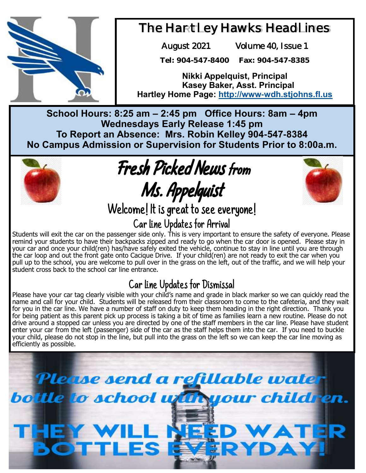

## The Hartley Hawks Headlines

August 2021 Volume 40, Issue 1

**Tel: 904-547-8400 Fax: 904-547-8385**

**Nikki Appelquist, Principal Kasey Baker, Asst. Principal Hartley Home Page: <http://www-wdh.stjohns.fl.us>**

**School Hours: 8:25 am – 2:45 pm Office Hours: 8am – 4pm Wednesdays Early Release 1:45 pm To Report an Absence: Mrs. Robin Kelley 904-547-8384 No Campus Admission or Supervision for Students Prior to 8:00a.m.** 



Fresh Picked News from Ms. Appelquist



Welcome! It is great to see everyone!

## Car Line Updates for Arrival

Students will exit the car on the passenger side only. This is very important to ensure the safety of everyone. Please remind your students to have their backpacks zipped and ready to go when the car door is opened. Please stay in your car and once your child(ren) has/have safely exited the vehicle, continue to stay in line until you are through the car loop and out the front gate onto Cacique Drive. If your child(ren) are not ready to exit the car when you pull up to the school, you are welcome to pull over in the grass on the left, out of the traffic, and we will help your student cross back to the school car line entrance.

## Car Line Updates for Dismissal

Please have your car tag clearly visible with your child's name and grade in black marker so we can quickly read the name and call for your child. Students will be released from their classroom to come to the cafeteria, and they wait for you in the car line. We have a number of staff on duty to keep them heading in the right direction. Thank you for being patient as this parent pick up process is taking a bit of time as families learn a new routine. Please do not drive around a stopped car unless you are directed by one of the staff members in the car line. Please have student enter your car from the left (passenger) side of the car as the staff helps them into the car. If you need to buckle your child, please do not stop in the line, but pull into the grass on the left so we can keep the car line moving as efficiently as possible.

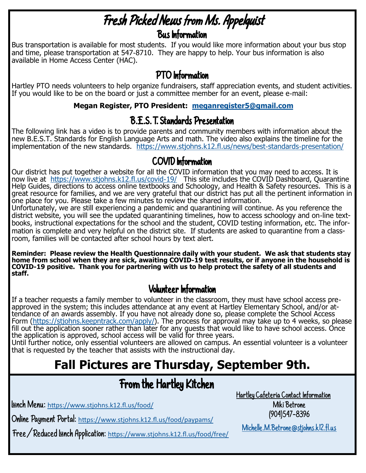# Fresh Picked News from Ms. Appelquist

Bus Information

Bus transportation is available for most students. If you would like more information about your bus stop and time, please transportation at 547-8710. They are happy to help. Your bus information is also available in Home Access Center (HAC).

### PTO Information

Hartley PTO needs volunteers to help organize fundraisers, staff appreciation events, and student activities. If you would like to be on the board or just a committee member for an event, please e-mail:

#### **Megan Register, PTO President: [meganregister5@gmail.com](mailto:meganregister5@gmail.com)**

#### B.E.S.T. Standards Presentation

The following link has a video is to provide parents and community members with information about the new B.E.S.T. Standards for English Language Arts and math. The video also explains the timeline for the implementation of the new standards. <https://www.stjohns.k12.fl.us/news/best-standards-presentation/>

#### COVID Information

Our district has put together a website for all the COVID information that you may need to access. It is now live at <https://www.stjohns.k12.fl.us/covid-19/>This site includes the COVID Dashboard, Quarantine Help Guides, directions to access online textbooks and Schoology, and Health & Safety resources. This is a great resource for families, and we are very grateful that our district has put all the pertinent information in one place for you. Please take a few minutes to review the shared information.

Unfortunately, we are still experiencing a pandemic and quarantining will continue. As you reference the district website, you will see the updated quarantining timelines, how to access schoology and on-line textbooks, instructional expectations for the school and the student, COVID testing information, etc. The information is complete and very helpful on the district site. If students are asked to quarantine from a classroom, families will be contacted after school hours by text alert.

**Reminder: Please review the Health Questionnaire daily with your student. We ask that students stay home from school when they are sick, awaiting COVID-19 test results, or if anyone in the household is COVID-19 positive. Thank you for partnering with us to help protect the safety of all students and staff.**

#### Volunteer Information

If a teacher requests a family member to volunteer in the classroom, they must have school access preapproved in the system; this includes attendance at any event at Hartley Elementary School, and/or attendance of an awards assembly. If you have not already done so, please complete the School Access Form ([https://stjohns.keepntrack.com/apply/\).](https://stjohns.keepntrack.com/apply/) The process for approval may take up to 4 weeks, so please fill out the application sooner rather than later for any guests that would like to have school access. Once the application is approved, school access will be valid for three years.

Until further notice, only essential volunteers are allowed on campus. An essential volunteer is a volunteer that is requested by the teacher that assists with the instructional day.

## **Fall Pictures are Thursday, September 9th.**

## From the Hartley Kitchen

Lunch Menu: [https://www.stjohns.k12.fl.us/food/](https://nam12.safelinks.protection.outlook.com/?url=https%3A%2F%2Fwww.stjohns.k12.fl.us%2Ffood%2F&data=04%7C01%7CJacey.Gwaltney%40stjohns.k12.fl.us%7Ce350cb4df1d5453cdc8c08d96332da36%7Cb3b3d057fc124f3f92f472be6e844351%7C0%7C0%7C637649892320641784%7CUnknown%7C)

Online Payment Portal: [https://www.stjohns.k12.fl.us/food/paypams/](https://nam12.safelinks.protection.outlook.com/?url=https%3A%2F%2Fwww.stjohns.k12.fl.us%2Ffood%2Fpaypams%2F&data=04%7C01%7CJacey.Gwaltney%40stjohns.k12.fl.us%7Ce350cb4df1d5453cdc8c08d96332da36%7Cb3b3d057fc124f3f92f472be6e844351%7C0%7C0%7C637649892320651800%7C)

Free/Reduced Lunch Application: [https://www.stjohns.k12.fl.us/food/free/](https://nam12.safelinks.protection.outlook.com/?url=https%3A%2F%2Fwww.stjohns.k12.fl.us%2Ffood%2Ffree%2F&data=04%7C01%7CJacey.Gwaltney%40stjohns.k12.fl.us%7Ce350cb4df1d5453cdc8c08d96332da36%7Cb3b3d057fc124f3f92f472be6e844351%7C0%7C0%7C637649892320651800%7CUnk)

Hartley Cafeteria Contact Information Miki Betrone (904)547-8396

[Michelle.M.Betrone@stjohns.k12.fl.us](mailto:Michelle.M.Betrone@stjohns.k12.fl.us)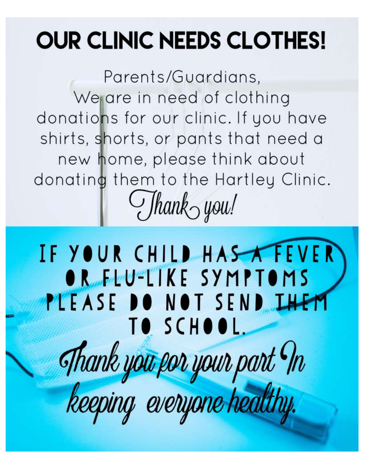# **OUR CLINIC NEEDS CLOTHES!**

Parents/Guardians, Wegare in need of clothing donations for our clinic. If you have shirts, shorts, or pants that need a new home, please think about donating them to the Hartley Clinic.  $Jhank_0$  you!

IF YOUR CHILD HAS TEVER OR FEU-LIKE SYMPTOMS PLEASE DO NOT SEND IHEM TO SCHOOL. Thank you por your part In<br>keeping everyone healthy.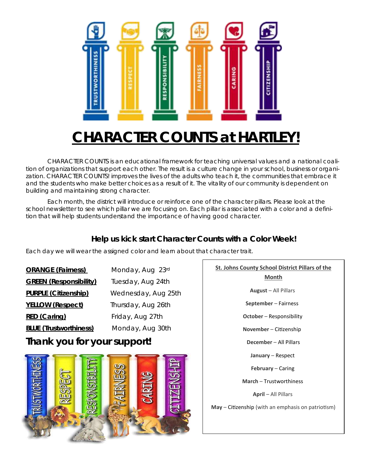

# **CHARACTER COUNTS at HARTLEY!**

CHARACTER COUNTS is an educational framework for teaching universal values and a national coalition of organizations that support each other. The result is a culture change in your school, business or organization. CHARACTER COUNTS! improves the lives of the adults who teach it, the communities that embrace it and the students who make better choices as a result of it. The vitality of our community is dependent on building and maintaining strong character.

Each month, the district will introduce or reinforce one of the character pillars. Please look at the school newsletter to see which pillar we are focusing on. Each pillar is associated with a color and a definition that will help students understand the importance of having good character.

#### **Help us kick start Character Counts with a Color Week!**

Each day we will wear the assigned color and learn about that character trait.

| <b>ORANGE (Fairness)</b>      | Monday, Aug 23rd    |
|-------------------------------|---------------------|
| <b>GREEN (Responsibility)</b> | Tuesday, Aug 24th   |
| PURPLE (Citizenship)          | Wednesday, Aug 25th |
| YELLOW (Respect)              | Thursday, Aug 26th  |
| RED (Caring)                  | Friday, Aug 27th    |
| <b>BLUE</b> (Trustworthiness) | Monday, Aug 30th    |

#### **Thank you for your support!**



## **St. Johns County School District Pillars of the Month August** – All Pillars **September** – Fairness **October** – Responsibility **November** – Citizenship **December** – All Pillars **January** – Respect **February** – Caring **March** – Trustworthiness **April** – All Pillars **May** – Citizenship (with an emphasis on patriotism)